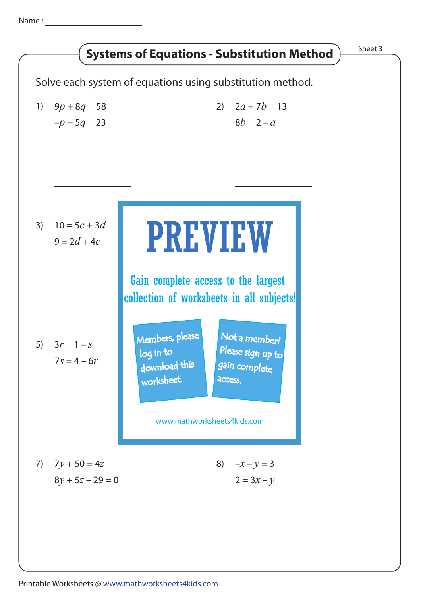